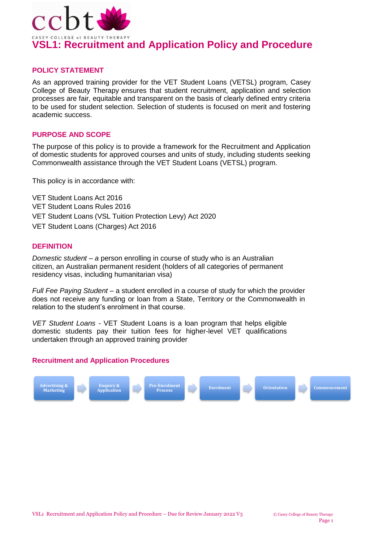

### **POLICY STATEMENT**

As an approved training provider for the VET Student Loans (VETSL) program, Casey College of Beauty Therapy ensures that student recruitment, application and selection processes are fair, equitable and transparent on the basis of clearly defined entry criteria to be used for student selection. Selection of students is focused on merit and fostering academic success.

### **PURPOSE AND SCOPE**

The purpose of this policy is to provide a framework for the Recruitment and Application of domestic students for approved courses and units of study, including students seeking Commonwealth assistance through the VET Student Loans (VETSL) program.

This policy is in accordance with:

VET Student Loans Act 2016 VET Student Loans Rules 2016 VET Student Loans (VSL Tuition Protection Levy) Act 2020 VET Student Loans (Charges) Act 2016

### **DEFINITION**

*Domestic student – a* person enrolling in course of study who is an Australian citizen, an Australian permanent resident (holders of all categories of permanent residency visas, including humanitarian visa)

*Full Fee Paying Student* – a student enrolled in a course of study for which the provider does not receive any funding or loan from a State, Territory or the Commonwealth in relation to the student's enrolment in that course.

*VET Student Loans -* VET Student Loans is a loan program that helps eligible domestic students pay their tuition fees for higher-level VET qualifications undertaken through an approved training provider

## **Recruitment and Application Procedures**

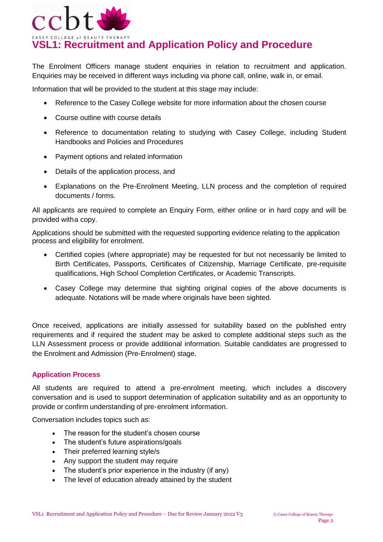

The Enrolment Officers manage student enquiries in relation to recruitment and application. Enquiries may be received in different ways including via phone call, online, walk in, or email.

Information that will be provided to the student at this stage may include:

- Reference to the Casey College website for more information about the chosen course
- Course outline with course details
- Reference to documentation relating to studying with Casey College, including Student Handbooks and Policies and Procedures
- Payment options and related information
- Details of the application process, and
- Explanations on the Pre-Enrolment Meeting, LLN process and the completion of required documents / forms.

All applicants are required to complete an Enquiry Form, either online or in hard copy and will be provided witha copy.

Applications should be submitted with the requested supporting evidence relating to the application process and eligibility for enrolment.

- Certified copies (where appropriate) may be requested for but not necessarily be limited to Birth Certificates, Passports, Certificates of Citizenship, Marriage Certificate, pre-requisite qualifications, High School Completion Certificates, or Academic Transcripts.
- Casey College may determine that sighting original copies of the above documents is adequate. Notations will be made where originals have been sighted.

Once received, applications are initially assessed for suitability based on the published entry requirements and if required the student may be asked to complete additional steps such as the LLN Assessment process or provide additional information. Suitable candidates are progressed to the Enrolment and Admission (Pre-Enrolment) stage.

## **Application Process**

All students are required to attend a pre-enrolment meeting, which includes a discovery conversation and is used to support determination of application suitability and as an opportunity to provide or confirm understanding of pre-enrolment information.

Conversation includes topics such as:

- The reason for the student's chosen course
- The student's future aspirations/goals
- Their preferred learning style/s
- Any support the student may require
- The student's prior experience in the industry (if any)
- The level of education already attained by the student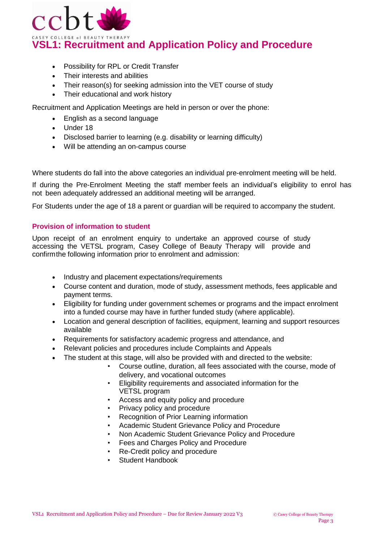

- Possibility for RPL or Credit Transfer
- Their interests and abilities
- Their reason(s) for seeking admission into the VET course of study
- Their educational and work history

Recruitment and Application Meetings are held in person or over the phone:

- English as a second language
- Under 18
- Disclosed barrier to learning (e.g. disability or learning difficulty)
- Will be attending an on-campus course

Where students do fall into the above categories an individual pre-enrolment meeting will be held.

If during the Pre-Enrolment Meeting the staff member feels an individual's eligibility to enrol has not been adequately addressed an additional meeting will be arranged.

For Students under the age of 18 a parent or guardian will be required to accompany the student.

## **Provision of information to student**

Upon receipt of an enrolment enquiry to undertake an approved course of study accessing the VETSL program, Casey College of Beauty Therapy will provide and confirmthe following information prior to enrolment and admission:

- Industry and placement expectations/requirements
- Course content and duration, mode of study, assessment methods, fees applicable and payment terms.
- Eligibility for funding under government schemes or programs and the impact enrolment into a funded course may have in further funded study (where applicable).
- Location and general description of facilities, equipment, learning and support resources available
- Requirements for satisfactory academic progress and attendance, and
- Relevant policies and procedures include Complaints and Appeals
- The student at this stage, will also be provided with and directed to the website:
	- Course outline, duration, all fees associated with the course, mode of delivery, and vocational outcomes
	- Eligibility requirements and associated information for the VETSL program
	- Access and equity policy and procedure
	- Privacy policy and procedure
	- Recognition of Prior Learning information
	- Academic Student Grievance Policy and Procedure
	- Non Academic Student Grievance Policy and Procedure
	- Fees and Charges Policy and Procedure
	- Re-Credit policy and procedure
	- Student Handbook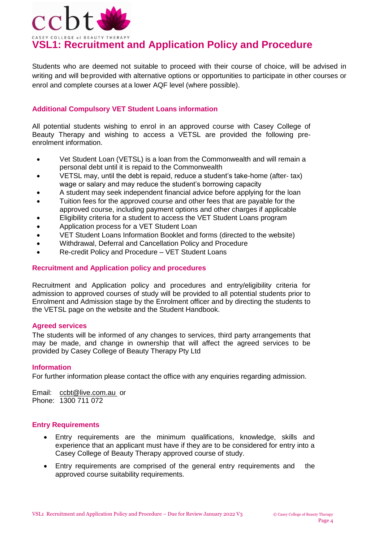

Students who are deemed not suitable to proceed with their course of choice, will be advised in writing and will beprovided with alternative options or opportunities to participate in other courses or enrol and complete courses at a lower AQF level (where possible).

## **Additional Compulsory VET Student Loans information**

All potential students wishing to enrol in an approved course with Casey College of Beauty Therapy and wishing to access a VETSL are provided the following preenrolment information.

- Vet Student Loan (VETSL) is a loan from the Commonwealth and will remain a personal debt until it is repaid to the Commonwealth
- VETSL may, until the debt is repaid, reduce a student's take-home (after- tax) wage or salary and may reduce the student's borrowing capacity
- A student may seek independent financial advice before applying for the loan
- Tuition fees for the approved course and other fees that are payable for the approved course, including payment options and other charges if applicable
- Eligibility criteria for a student to access the VET Student Loans program
- Application process for a VET Student Loan
- VET Student Loans Information Booklet and forms (directed to the website)
- Withdrawal, Deferral and Cancellation Policy and Procedure
- Re-credit Policy and Procedure VET Student Loans

### **Recruitment and Application policy and procedures**

Recruitment and Application policy and procedures and entry/eligibility criteria for admission to approved courses of study will be provided to all potential students prior to Enrolment and Admission stage by the Enrolment officer and by directing the students to the VETSL page on the website and the Student Handbook.

#### **Agreed services**

The students will be informed of any changes to services, third party arrangements that may be made, and change in ownership that will affect the agreed services to be provided by Casey College of Beauty Therapy Pty Ltd

#### **Information**

For further information please contact the office with any enquiries regarding admission.

Email: [ccbt@live.com.au](mailto:ccbt@live.com.au) or Phone: 1300 711 072

#### **Entry Requirements**

- Entry requirements are the minimum qualifications, knowledge, skills and experience that an applicant must have if they are to be considered for entry into a Casey College of Beauty Therapy approved course of study.
- Entry requirements are comprised of the general entry requirements and the approved course suitability requirements.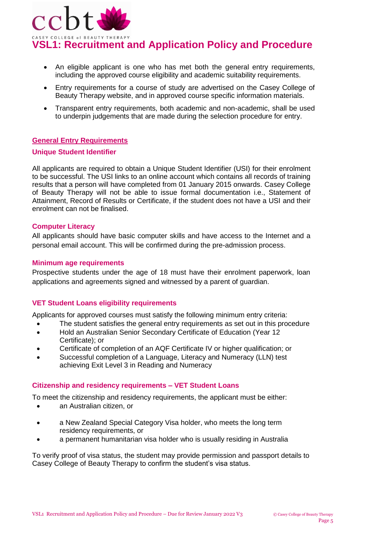

- An eligible applicant is one who has met both the general entry requirements, including the approved course eligibility and academic suitability requirements.
- Entry requirements for a course of study are advertised on the Casey College of Beauty Therapy website, and in approved course specific information materials.
- Transparent entry requirements, both academic and non-academic, shall be used to underpin judgements that are made during the selection procedure for entry.

## **General Entry Requirements**

#### **Unique Student Identifier**

All applicants are required to obtain a Unique Student Identifier (USI) for their enrolment to be successful. The USI links to an online account which contains all records of training results that a person will have completed from 01 January 2015 onwards. Casey College of Beauty Therapy will not be able to issue formal documentation i.e., Statement of Attainment, Record of Results or Certificate, if the student does not have a USI and their enrolment can not be finalised.

### **Computer Literacy**

All applicants should have basic computer skills and have access to the Internet and a personal email account. This will be confirmed during the pre-admission process.

### **Minimum age requirements**

Prospective students under the age of 18 must have their enrolment paperwork, loan applications and agreements signed and witnessed by a parent of guardian.

### **VET Student Loans eligibility requirements**

Applicants for approved courses must satisfy the following minimum entry criteria:

- The student satisfies the general entry requirements as set out in this procedure
- Hold an Australian Senior Secondary Certificate of Education (Year 12 Certificate); or
- Certificate of completion of an AQF Certificate IV or higher qualification; or
- Successful completion of a Language, Literacy and Numeracy (LLN) test achieving Exit Level 3 in Reading and Numeracy

### **Citizenship and residency requirements – VET Student Loans**

To meet the citizenship and residency requirements, the applicant must be either:

- an Australian citizen, or
- a New Zealand Special Category Visa holder, who meets the long term residency requirements, or
- a permanent humanitarian visa holder who is usually residing in Australia

To verify proof of visa status, the student may provide permission and passport details to Casey College of Beauty Therapy to confirm the student's visa status.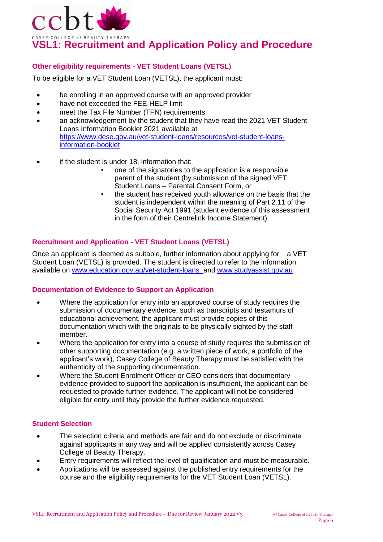

## **Other eligibility requirements - VET Student Loans (VETSL)**

To be eligible for a VET Student Loan (VETSL), the applicant must:

- be enrolling in an approved course with an approved provider
- have not exceeded the FEE-HELP limit
- meet the Tax File Number (TFN) requirements
- an acknowledgement by the student that they have read the 2021 VET Student Loans Information Booklet 2021 available at [https://www.dese.gov.au/vet-student-loans/resources/vet-student-loans](https://www.dese.gov.au/vet-student-loans/resources/vet-student-loans-information-booklet)[information-booklet](https://www.dese.gov.au/vet-student-loans/resources/vet-student-loans-information-booklet)
- if the student is under 18, information that:
	- one of the signatories to the application is a responsible parent of the student (by submission of the signed [VET](https://www.dese.gov.au/vet-student-loans/resources/request-vet-student-loan-parental-consent-student-under-18-years)  Student Loans – [Parental Consent Form,](https://www.dese.gov.au/vet-student-loans/resources/request-vet-student-loan-parental-consent-student-under-18-years) or
	- the student has received youth allowance on the basis that the student is independent within the meaning of Part 2.11 of the Social Security Act 1991 (student evidence of this assessment in the form of their Centrelink Income Statement)

### **Recruitment and Application - VET Student Loans (VETSL)**

Once an applicant is deemed as suitable, further information about applying for a VET Student Loan (VETSL) is provided. The student is directed to refer to the information available on [www.education.gov.au/vet-student-loans a](http://www.education.gov.au/vet-student-loans)nd [www.studyassist.gov.au](http://www.studyassist.gov.au/)

## **Documentation of Evidence to Support an Application**

- Where the application for entry into an approved course of study requires the submission of documentary evidence, such as transcripts and testamurs of educational achievement, the applicant must provide copies of this documentation which with the originals to be physically sighted by the staff member.
- Where the application for entry into a course of study requires the submission of other supporting documentation (e.g. a written piece of work, a portfolio of the applicant's work), Casey College of Beauty Therapy must be satisfied with the authenticity of the supporting documentation.
- Where the Student Enrolment Officer or CEO considers that documentary evidence provided to support the application is insufficient, the applicant can be requested to provide further evidence. The applicant will not be considered eligible for entry until they provide the further evidence requested.

#### **Student Selection**

- The selection criteria and methods are fair and do not exclude or discriminate against applicants in any way and will be applied consistently across Casey College of Beauty Therapy.
- Entry requirements will reflect the level of qualification and must be measurable.
- Applications will be assessed against the published entry requirements for the course and the eligibility requirements for the VET Student Loan (VETSL).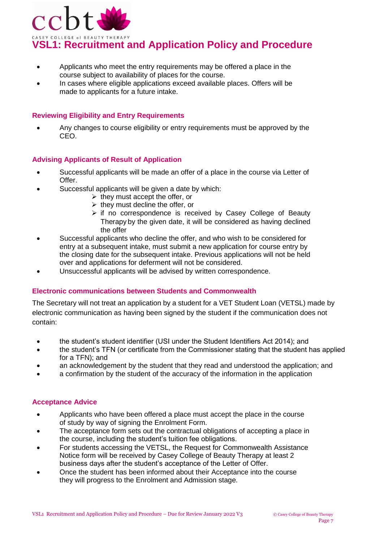

- Applicants who meet the entry requirements may be offered a place in the course subject to availability of places for the course.
- In cases where eligible applications exceed available places. Offers will be made to applicants for a future intake.

## **Reviewing Eligibility and Entry Requirements**

 Any changes to course eligibility or entry requirements must be approved by the CEO.

### **Advising Applicants of Result of Application**

- Successful applicants will be made an offer of a place in the course via Letter of Offer.
- Successful applicants will be given a date by which:
	- $\triangleright$  they must accept the offer, or
	- $\triangleright$  they must decline the offer, or
	- $\triangleright$  if no correspondence is received by Casey College of Beauty Therapy by the given date, it will be considered as having declined the offer
- Successful applicants who decline the offer, and who wish to be considered for entry at a subsequent intake, must submit a new application for course entry by the closing date for the subsequent intake. Previous applications will not be held over and applications for deferment will not be considered.
- Unsuccessful applicants will be advised by written correspondence.

### **Electronic communications between Students and Commonwealth**

The Secretary will not treat an application by a student for a VET Student Loan (VETSL) made by electronic communication as having been signed by the student if the communication does not contain:

- the student's student identifier (USI under the Student Identifiers Act 2014); and
- the student's TFN (or certificate from the Commissioner stating that the student has applied for a TFN); and
- an acknowledgement by the student that they read and understood the application; and
- a confirmation by the student of the accuracy of the information in the application

### **Acceptance Advice**

- Applicants who have been offered a place must accept the place in the course of study by way of signing the Enrolment Form.
- The acceptance form sets out the contractual obligations of accepting a place in the course, including the student's tuition fee obligations.
- For students accessing the VETSL, the Request for Commonwealth Assistance Notice form will be received by Casey College of Beauty Therapy at least 2 business days after the student's acceptance of the Letter of Offer.
- Once the student has been informed about their Acceptance into the course they will progress to the Enrolment and Admission stage.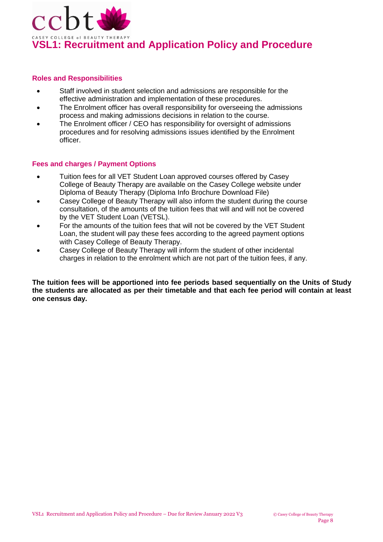

### **Roles and Responsibilities**

- Staff involved in student selection and admissions are responsible for the effective administration and implementation of these procedures.
- The Enrolment officer has overall responsibility for overseeing the admissions process and making admissions decisions in relation to the course.
- The Enrolment officer / CEO has responsibility for oversight of admissions procedures and for resolving admissions issues identified by the Enrolment officer.

### **Fees and charges / Payment Options**

- Tuition fees for all VET Student Loan approved courses offered by Casey College of Beauty Therapy are available on the Casey College website under Diploma of Beauty Therapy (Diploma Info Brochure Download File)
- Casey College of Beauty Therapy will also inform the student during the course consultation, of the amounts of the tuition fees that will and will not be covered by the VET Student Loan (VETSL).
- For the amounts of the tuition fees that will not be covered by the VET Student Loan, the student will pay these fees according to the agreed payment options with Casey College of Beauty Therapy.
- Casey College of Beauty Therapy will inform the student of other incidental charges in relation to the enrolment which are not part of the tuition fees, if any.

**The tuition fees will be apportioned into fee periods based sequentially on the Units of Study the students are allocated as per their timetable and that each fee period will contain at least one census day.**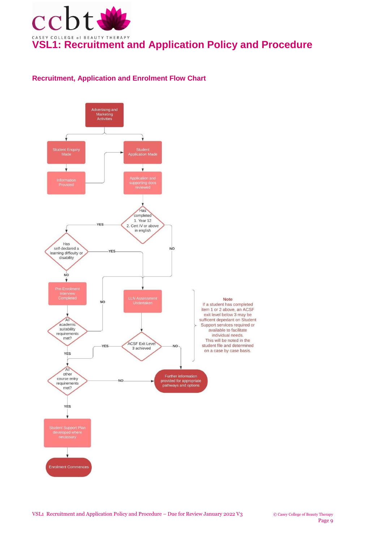

## **Recruitment, Application and Enrolment Flow Chart**